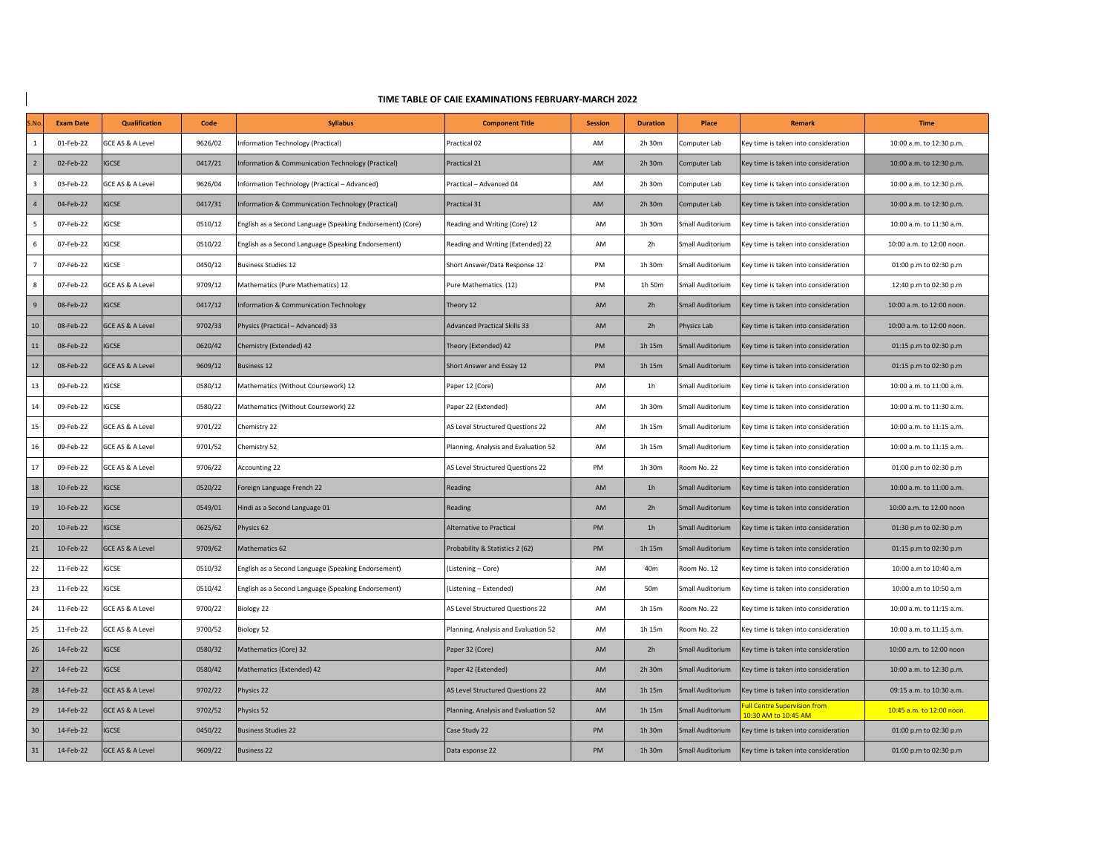| TIME TABLE OF CAIE EXAMINATIONS FEBRUARY-MARCH 2022 |
|-----------------------------------------------------|
|-----------------------------------------------------|

 $\overline{\phantom{a}}$ 

| M <sub>0</sub>          | <b>Exam Date</b> | <b>Qualification</b>        | Code    | <b>Syllabus</b>                                            | <b>Component Title</b>               | <b>Session</b> | <b>Duration</b> | Place            | <b>Remark</b>                                       | <b>Time</b>               |
|-------------------------|------------------|-----------------------------|---------|------------------------------------------------------------|--------------------------------------|----------------|-----------------|------------------|-----------------------------------------------------|---------------------------|
| 1                       | 01-Feb-22        | GCE AS & A Level            | 9626/02 | Information Technology (Practical)                         | Practical 02                         | AM             | 2h 30m          | Computer Lab     | Key time is taken into consideration                | 10:00 a.m. to 12:30 p.m.  |
| $\overline{2}$          | 02-Feb-22        | <b>IGCSE</b>                | 0417/21 | Information & Communication Technology (Practical)         | Practical 21                         | AM             | 2h 30m          | Computer Lab     | Key time is taken into consideration                | 10:00 a.m. to 12:30 p.m.  |
| $\overline{\mathbf{3}}$ | 03-Feb-22        | GCE AS & A Level            | 9626/04 | Information Technology (Practical - Advanced)              | Practical - Advanced 04              | AM             | 2h 30m          | Computer Lab     | Key time is taken into consideration                | 10:00 a.m. to 12:30 p.m.  |
| $\overline{4}$          | 04-Feb-22        | <b>IGCSE</b>                | 0417/31 | Information & Communication Technology (Practical)         | Practical 31                         | AM             | 2h 30m          | Computer Lab     | Key time is taken into consideration                | 10:00 a.m. to 12:30 p.m.  |
| 5                       | 07-Feb-22        | IGCSE                       | 0510/12 | English as a Second Language (Speaking Endorsement) (Core) | Reading and Writing (Core) 12        | AM             | 1h 30m          | Small Auditorium | Key time is taken into consideration                | 10:00 a.m. to 11:30 a.m.  |
| 6                       | 07-Feb-22        | IGCSE                       | 0510/22 | English as a Second Language (Speaking Endorsement)        | Reading and Writing (Extended) 22    | AM             | 2h              | Small Auditorium | Key time is taken into consideration                | 10:00 a.m. to 12:00 noon. |
| $\overline{7}$          | 07-Feb-22        | IGCSE                       | 0450/12 | <b>Business Studies 12</b>                                 | Short Answer/Data Response 12        | PM             | 1h 30m          | Small Auditorium | Key time is taken into consideration                | 01:00 p.m to 02:30 p.m    |
| 8                       | 07-Feb-22        | GCE AS & A Level            | 9709/12 | Mathematics (Pure Mathematics) 12                          | Pure Mathematics (12)                | PM             | 1h 50m          | Small Auditorium | Key time is taken into consideration                | 12:40 p.m to 02:30 p.m    |
| $\overline{9}$          | 08-Feb-22        | <b>IGCSE</b>                | 0417/12 | Information & Communication Technology                     | Theory 12                            | AM             | 2h              | Small Auditorium | Key time is taken into consideration                | 10:00 a.m. to 12:00 noon. |
| 10                      | 08-Feb-22        | <b>GCE AS &amp; A Level</b> | 9702/33 | Physics (Practical - Advanced) 33                          | <b>Advanced Practical Skills 33</b>  | AM             | 2h              | Physics Lab      | Key time is taken into consideration                | 10:00 a.m. to 12:00 noon. |
| 11                      | 08-Feb-22        | <b>IGCSE</b>                | 0620/42 | Chemistry (Extended) 42                                    | Theory (Extended) 42                 | PM             | 1h 15m          | Small Auditorium | Key time is taken into consideration                | 01:15 p.m to 02:30 p.m    |
| 12                      | 08-Feb-22        | GCE AS & A Level            | 9609/12 | <b>Business 12</b>                                         | Short Answer and Essay 12            | PM             | 1h 15m          | Small Auditorium | Key time is taken into consideration                | 01:15 p.m to 02:30 p.m    |
| 13                      | 09-Feb-22        | <b>IGCSE</b>                | 0580/12 | Mathematics (Without Coursework) 12                        | Paper 12 (Core)                      | AM             | 1 <sub>h</sub>  | Small Auditorium | Key time is taken into consideration                | 10:00 a.m. to 11:00 a.m.  |
| 14                      | 09-Feb-22        | IGCSE                       | 0580/22 | Mathematics (Without Coursework) 22                        | Paper 22 (Extended)                  | AM             | 1h 30m          | Small Auditorium | Key time is taken into consideration                | 10:00 a.m. to 11:30 a.m.  |
| 15                      | 09-Feb-22        | GCE AS & A Level            | 9701/22 | Chemistry 22                                               | AS Level Structured Questions 22     | AM             | 1h 15m          | Small Auditorium | Key time is taken into consideration                | 10:00 a.m. to 11:15 a.m.  |
| 16                      | 09-Feb-22        | GCE AS & A Level            | 9701/52 | Chemistry 52                                               | Planning, Analysis and Evaluation 52 | AM             | 1h 15m          | Small Auditorium | Key time is taken into consideration                | 10:00 a.m. to 11:15 a.m.  |
| 17                      | 09-Feb-22        | GCE AS & A Level            | 9706/22 | Accounting 22                                              | AS Level Structured Questions 22     | PM             | 1h 30m          | Room No. 22      | Key time is taken into consideration                | 01:00 p.m to 02:30 p.m    |
| 18                      | 10-Feb-22        | <b>IGCSE</b>                | 0520/22 | Foreign Language French 22                                 | Reading                              | AM             | 1 <sub>h</sub>  | Small Auditorium | Key time is taken into consideration                | 10:00 a.m. to 11:00 a.m.  |
| 19                      | 10-Feb-22        | <b>IGCSE</b>                | 0549/01 | Hindi as a Second Language 01                              | Reading                              | AM             | 2h              | Small Auditorium | Key time is taken into consideration                | 10:00 a.m. to 12:00 noon  |
| 20                      | 10-Feb-22        | <b>IGCSE</b>                | 0625/62 | Physics 62                                                 | <b>Alternative to Practical</b>      | PM             | 1 <sub>h</sub>  | Small Auditorium | Key time is taken into consideration                | 01:30 p.m to 02:30 p.m    |
| 21                      | 10-Feb-22        | <b>GCE AS &amp; A Level</b> | 9709/62 | Mathematics 62                                             | Probability & Statistics 2 (62)      | PM             | 1h 15m          | Small Auditorium | Key time is taken into consideration                | 01:15 p.m to 02:30 p.m    |
| 22                      | 11-Feb-22        | IGCSE                       | 0510/32 | English as a Second Language (Speaking Endorsement)        | (Listening - Core)                   | AM             | 40m             | Room No. 12      | Key time is taken into consideration                | 10:00 a.m to 10:40 a.m    |
| 23                      | 11-Feb-22        | IGCSE                       | 0510/42 | English as a Second Language (Speaking Endorsement)        | (Listening - Extended)               | AM             | 50m             | Small Auditorium | Key time is taken into consideration                | 10:00 a.m to 10:50 a.m    |
| 24                      | 11-Feb-22        | GCE AS & A Level            | 9700/22 | Biology 22                                                 | AS Level Structured Questions 22     | AM             | 1h 15m          | Room No. 22      | Key time is taken into consideration                | 10:00 a.m. to 11:15 a.m.  |
| 25                      | 11-Feb-22        | GCE AS & A Level            | 9700/52 | Biology 52                                                 | Planning, Analysis and Evaluation 52 | AM             | 1h 15m          | Room No. 22      | Key time is taken into consideration                | 10:00 a.m. to 11:15 a.m.  |
| 26                      | 14-Feb-22        | <b>IGCSE</b>                | 0580/32 | Mathematics (Core) 32                                      | Paper 32 (Core)                      | AM             | 2h              | Small Auditorium | Key time is taken into consideration                | 10:00 a.m. to 12:00 noon  |
| 27                      | 14-Feb-22        | <b>IGCSE</b>                | 0580/42 | Mathematics (Extended) 42                                  | Paper 42 (Extended)                  | AM             | 2h 30m          | Small Auditorium | Key time is taken into consideration                | 10:00 a.m. to 12:30 p.m.  |
| 28                      | 14-Feb-22        | GCE AS & A Level            | 9702/22 | Physics 22                                                 | AS Level Structured Questions 22     | AM             | 1h 15m          | Small Auditorium | Key time is taken into consideration                | 09:15 a.m. to 10:30 a.m.  |
| 29                      | 14-Feb-22        | GCE AS & A Level            | 9702/52 | Physics 52                                                 | Planning, Analysis and Evaluation 52 | AM             | 1h 15m          | Small Auditorium | ull Centre Supervision from<br>10:30 AM to 10:45 AM | 10:45 a.m. to 12:00 noon. |
| 30                      | 14-Feb-22        | <b>IGCSE</b>                | 0450/22 | <b>Business Studies 22</b>                                 | Case Study 22                        | PM             | 1h 30m          | Small Auditorium | Key time is taken into consideration                | 01:00 p.m to 02:30 p.m    |
| 31                      | 14-Feb-22        | GCE AS & A Level            | 9609/22 | <b>Business 22</b>                                         | Data esponse 22                      | PM             | 1h 30m          | Small Auditorium | Key time is taken into consideration                | 01:00 p.m to 02:30 p.m    |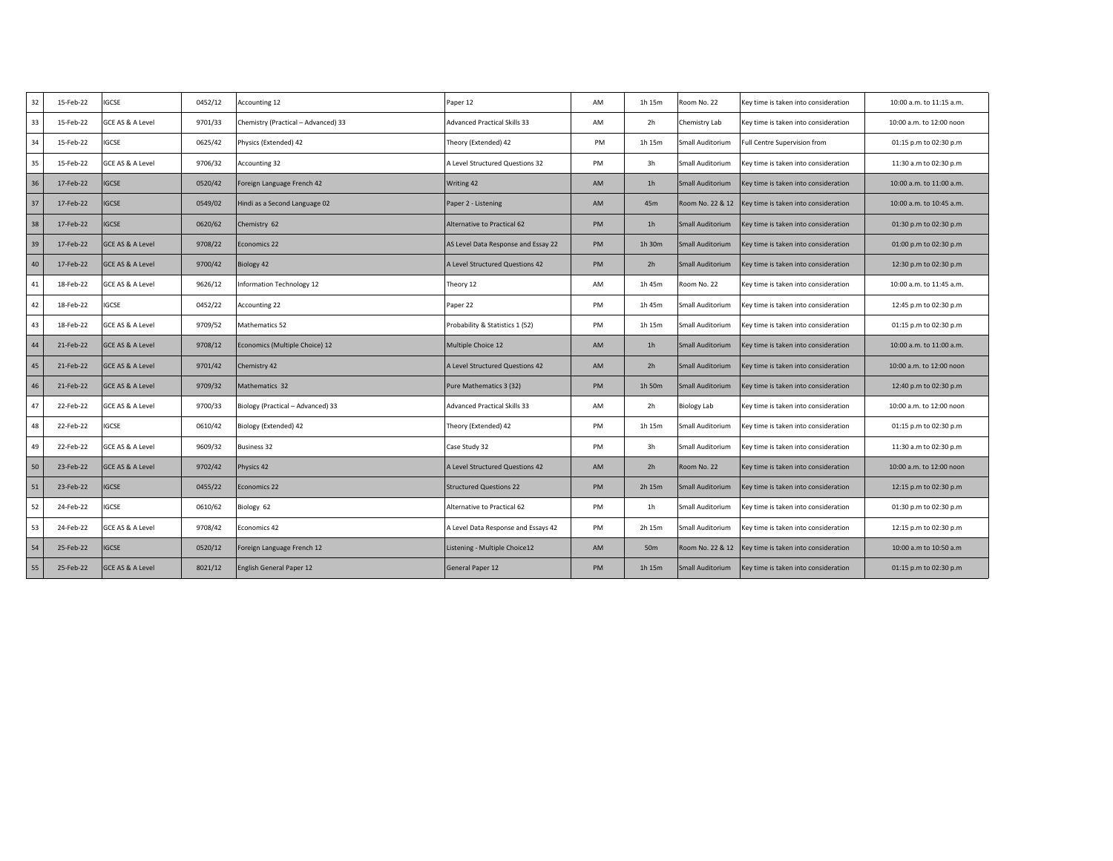| 32 | 15-Feb-22 | <b>IGCSE</b>                | 0452/12 | Accounting 12                       | Paper 12                            | AM | 1h 15m         | Room No. 22        | Key time is taken into consideration | 10:00 a.m. to 11:15 a.m. |
|----|-----------|-----------------------------|---------|-------------------------------------|-------------------------------------|----|----------------|--------------------|--------------------------------------|--------------------------|
| 33 | 15-Feb-22 | GCE AS & A Level            | 9701/33 | Chemistry (Practical - Advanced) 33 | <b>Advanced Practical Skills 33</b> | AM | 2h             | Chemistry Lab      | Key time is taken into consideration | 10:00 a.m. to 12:00 noon |
| 34 | 15-Feb-22 | IGCSE                       | 0625/42 | Physics (Extended) 42               | Theory (Extended) 42                | PM | 1h 15m         | Small Auditorium   | Full Centre Supervision from         | 01:15 p.m to 02:30 p.m   |
| 35 | 15-Feb-22 | <b>GCE AS &amp; A Level</b> | 9706/32 | <b>Accounting 32</b>                | A Level Structured Questions 32     | PM | 3h             | Small Auditorium   | Key time is taken into consideration | 11:30 a.m to 02:30 p.m   |
| 36 | 17-Feb-22 | GCSE                        | 0520/42 | Foreign Language French 42          | Writing 42                          | AM | 1 <sub>h</sub> | Small Auditorium   | Key time is taken into consideration | 10:00 a.m. to 11:00 a.m. |
| 37 | 17-Feb-22 | <b>GCSE</b>                 | 0549/02 | Hindi as a Second Language 02       | Paper 2 - Listening                 | AM | 45m            | Room No. 22 & 12   | Key time is taken into consideration | 10:00 a.m. to 10:45 a.m. |
| 38 | 17-Feb-22 | GCSE                        | 0620/62 | Chemistry 62                        | Alternative to Practical 62         | PM | 1 <sub>h</sub> | Small Auditorium   | Key time is taken into consideration | 01:30 p.m to 02:30 p.m   |
| 39 | 17-Feb-22 | GCE AS & A Level            | 9708/22 | Economics 22                        | AS Level Data Response and Essay 22 | PM | 1h 30m         | Small Auditorium   | Key time is taken into consideration | 01:00 p.m to 02:30 p.m   |
| 40 | 17-Feb-22 | <b>GCE AS &amp; A Level</b> | 9700/42 | Biology 42                          | A Level Structured Questions 42     | PM | 2h             | Small Auditorium   | Key time is taken into consideration | 12:30 p.m to 02:30 p.m   |
| 41 | 18-Feb-22 | GCE AS & A Level            | 9626/12 | Information Technology 12           | Theory 12                           | AM | 1h 45m         | Room No. 22        | Key time is taken into consideration | 10:00 a.m. to 11:45 a.m. |
| 42 | 18-Feb-22 | IGCSE                       | 0452/22 | Accounting 22                       | Paper 22                            | PM | 1h 45m         | Small Auditorium   | Key time is taken into consideration | 12:45 p.m to 02:30 p.m   |
| 43 | 18-Feb-22 | GCE AS & A Level            | 9709/52 | Mathematics 52                      | Probability & Statistics 1 (52)     | PM | 1h 15m         | Small Auditorium   | Key time is taken into consideration | 01:15 p.m to 02:30 p.m   |
| 44 | 21-Feb-22 | <b>GCE AS &amp; A Level</b> | 9708/12 | Economics (Multiple Choice) 12      | Multiple Choice 12                  | AM | 1 <sub>h</sub> | Small Auditorium   | Key time is taken into consideration | 10:00 a.m. to 11:00 a.m. |
| 45 | 21-Feb-22 | <b>GCE AS &amp; A Level</b> | 9701/42 | Chemistry 42                        | A Level Structured Questions 42     | AM | 2h             | Small Auditorium   | Key time is taken into consideration | 10:00 a.m. to 12:00 noon |
| 46 | 21-Feb-22 | GCE AS & A Level            | 9709/32 | Mathematics 32                      | Pure Mathematics 3 (32)             | PM | 1h 50m         | Small Auditorium   | Key time is taken into consideration | 12:40 p.m to 02:30 p.m   |
| 47 | 22-Feb-22 | GCE AS & A Level            | 9700/33 | Biology (Practical - Advanced) 33   | <b>Advanced Practical Skills 33</b> | AM | 2h             | <b>Biology Lab</b> | Key time is taken into consideration | 10:00 a.m. to 12:00 noon |
| 48 | 22-Feb-22 | GCSE                        | 0610/42 | Biology (Extended) 42               | Theory (Extended) 42                | PM | 1h 15m         | Small Auditorium   | Key time is taken into consideration | 01:15 p.m to 02:30 p.m   |
| 49 | 22-Feb-22 | GCE AS & A Level            | 9609/32 | <b>Business 32</b>                  | Case Study 32                       | PM | 3h             | Small Auditorium   | Key time is taken into consideration | 11:30 a.m to 02:30 p.m   |
| 50 | 23-Feb-22 | <b>GCE AS &amp; A Level</b> | 9702/42 | Physics 42                          | A Level Structured Questions 42     | AM | 2h             | Room No. 22        | Key time is taken into consideration | 10:00 a.m. to 12:00 noon |
| 51 | 23-Feb-22 | GCSE                        | 0455/22 | Economics 22                        | <b>Structured Questions 22</b>      | PM | 2h 15m         | Small Auditorium   | Key time is taken into consideration | 12:15 p.m to 02:30 p.m   |
| 52 | 24-Feb-22 | IGCSE                       | 0610/62 | Biology 62                          | Alternative to Practical 62         | PM | 1 <sub>h</sub> | Small Auditorium   | Key time is taken into consideration | 01:30 p.m to 02:30 p.m   |
| 53 | 24-Feb-22 | GCE AS & A Level            | 9708/42 | Economics 42                        | A Level Data Response and Essays 42 | PM | 2h 15m         | Small Auditorium   | Key time is taken into consideration | 12:15 p.m to 02:30 p.m   |
| 54 | 25-Feb-22 | <b>GCSE</b>                 | 0520/12 | Foreign Language French 12          | Listening - Multiple Choice12       | AM | 50m            | Room No. 22 & 12   | Key time is taken into consideration | 10:00 a.m to 10:50 a.m   |
| 55 | 25-Feb-22 | <b>GCE AS &amp; A Level</b> | 8021/12 | English General Paper 12            | General Paper 12                    | PM | 1h 15m         | Small Auditorium   | Key time is taken into consideration | 01:15 p.m to 02:30 p.m   |